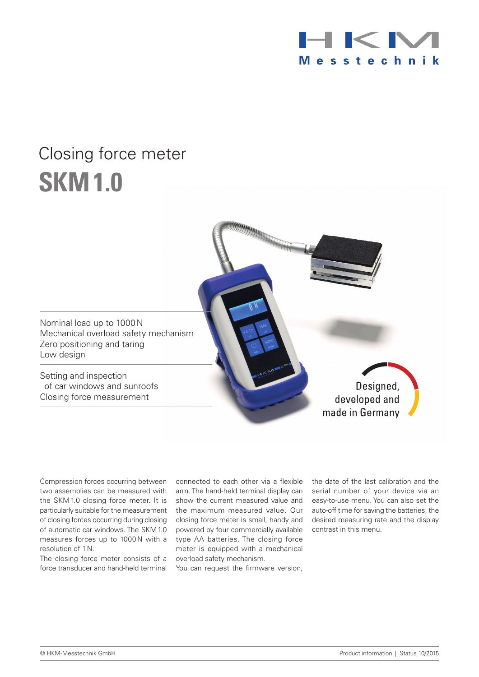

# Closing force meter **SKM1.0**



Compression forces occurring between two assemblies can be measured with the SKM1.0 closing force meter. It is particularly suitable for the measurement of closing forces occurring during closing of automatic car windows. The SKM1.0 measures forces up to 1000N with a resolution of 1N.

The closing force meter consists of a force transducer and hand-held terminal connected to each other via a flexible arm. The hand-held terminal display can show the current measured value and the maximum measured value. Our closing force meter is small, handy and powered by four commercially available type AA batteries. The closing force meter is equipped with a mechanical overload safety mechanism.

You can request the firmware version,

the date of the last calibration and the serial number of your device via an easy-to-use menu. You can also set the auto-off time for saving the batteries, the desired measuring rate and the display contrast in this menu.